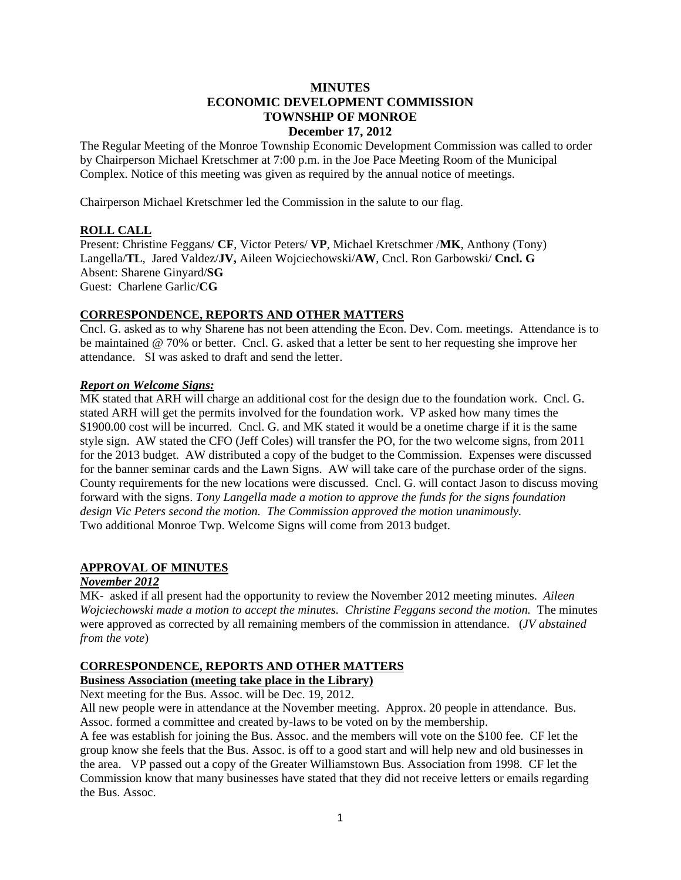## **MINUTES ECONOMIC DEVELOPMENT COMMISSION TOWNSHIP OF MONROE December 17, 2012**

The Regular Meeting of the Monroe Township Economic Development Commission was called to order by Chairperson Michael Kretschmer at 7:00 p.m. in the Joe Pace Meeting Room of the Municipal Complex. Notice of this meeting was given as required by the annual notice of meetings.

Chairperson Michael Kretschmer led the Commission in the salute to our flag.

## **ROLL CALL**

Present: Christine Feggans/ **CF**, Victor Peters/ **VP**, Michael Kretschmer /**MK**, Anthony (Tony) Langella/**TL**, Jared Valdez/**JV,** Aileen Wojciechowski/**AW**, Cncl. Ron Garbowski/ **Cncl. G** Absent: Sharene Ginyard/**SG** Guest: Charlene Garlic/**CG**

## **CORRESPONDENCE, REPORTS AND OTHER MATTERS**

Cncl. G. asked as to why Sharene has not been attending the Econ. Dev. Com. meetings. Attendance is to be maintained @ 70% or better. Cncl. G. asked that a letter be sent to her requesting she improve her attendance. SI was asked to draft and send the letter.

## *Report on Welcome Signs:*

MK stated that ARH will charge an additional cost for the design due to the foundation work. Cncl. G. stated ARH will get the permits involved for the foundation work. VP asked how many times the \$1900.00 cost will be incurred. Cncl. G. and MK stated it would be a onetime charge if it is the same style sign. AW stated the CFO (Jeff Coles) will transfer the PO, for the two welcome signs, from 2011 for the 2013 budget. AW distributed a copy of the budget to the Commission. Expenses were discussed for the banner seminar cards and the Lawn Signs. AW will take care of the purchase order of the signs. County requirements for the new locations were discussed. Cncl. G. will contact Jason to discuss moving forward with the signs. *Tony Langella made a motion to approve the funds for the signs foundation design Vic Peters second the motion. The Commission approved the motion unanimously.*  Two additional Monroe Twp. Welcome Signs will come from 2013 budget.

## **APPROVAL OF MINUTES**

# *November 2012*

MK- asked if all present had the opportunity to review the November 2012 meeting minutes. *Aileen Wojciechowski made a motion to accept the minutes. Christine Feggans second the motion.* The minutes were approved as corrected by all remaining members of the commission in attendance. (*JV abstained from the vote*)

## **CORRESPONDENCE, REPORTS AND OTHER MATTERS**

# **Business Association (meeting take place in the Library)**

Next meeting for the Bus. Assoc. will be Dec. 19, 2012.

All new people were in attendance at the November meeting. Approx. 20 people in attendance. Bus. Assoc. formed a committee and created by-laws to be voted on by the membership.

A fee was establish for joining the Bus. Assoc. and the members will vote on the \$100 fee. CF let the group know she feels that the Bus. Assoc. is off to a good start and will help new and old businesses in the area. VP passed out a copy of the Greater Williamstown Bus. Association from 1998. CF let the Commission know that many businesses have stated that they did not receive letters or emails regarding the Bus. Assoc.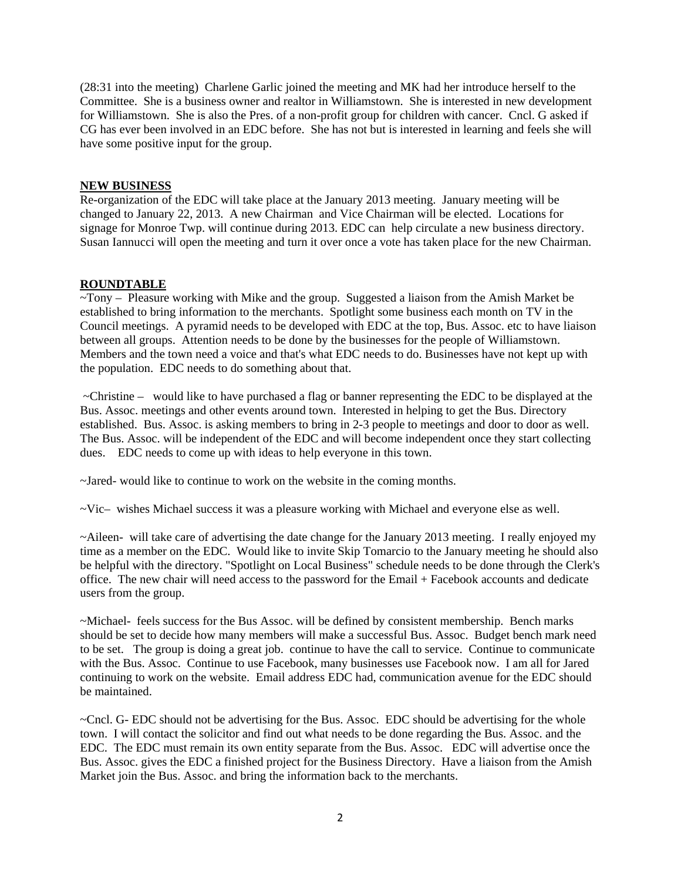(28:31 into the meeting) Charlene Garlic joined the meeting and MK had her introduce herself to the Committee. She is a business owner and realtor in Williamstown. She is interested in new development for Williamstown. She is also the Pres. of a non-profit group for children with cancer. Cncl. G asked if CG has ever been involved in an EDC before. She has not but is interested in learning and feels she will have some positive input for the group.

#### **NEW BUSINESS**

Re-organization of the EDC will take place at the January 2013 meeting. January meeting will be changed to January 22, 2013. A new Chairman and Vice Chairman will be elected. Locations for signage for Monroe Twp. will continue during 2013. EDC can help circulate a new business directory. Susan Iannucci will open the meeting and turn it over once a vote has taken place for the new Chairman.

## **ROUNDTABLE**

~Tony – Pleasure working with Mike and the group. Suggested a liaison from the Amish Market be established to bring information to the merchants. Spotlight some business each month on TV in the Council meetings. A pyramid needs to be developed with EDC at the top, Bus. Assoc. etc to have liaison between all groups. Attention needs to be done by the businesses for the people of Williamstown. Members and the town need a voice and that's what EDC needs to do. Businesses have not kept up with the population. EDC needs to do something about that.

 ~Christine – would like to have purchased a flag or banner representing the EDC to be displayed at the Bus. Assoc. meetings and other events around town. Interested in helping to get the Bus. Directory established. Bus. Assoc. is asking members to bring in 2-3 people to meetings and door to door as well. The Bus. Assoc. will be independent of the EDC and will become independent once they start collecting dues. EDC needs to come up with ideas to help everyone in this town.

~Jared- would like to continue to work on the website in the coming months.

~Vic– wishes Michael success it was a pleasure working with Michael and everyone else as well.

~Aileen- will take care of advertising the date change for the January 2013 meeting. I really enjoyed my time as a member on the EDC. Would like to invite Skip Tomarcio to the January meeting he should also be helpful with the directory. "Spotlight on Local Business" schedule needs to be done through the Clerk's office. The new chair will need access to the password for the Email + Facebook accounts and dedicate users from the group.

~Michael- feels success for the Bus Assoc. will be defined by consistent membership. Bench marks should be set to decide how many members will make a successful Bus. Assoc. Budget bench mark need to be set. The group is doing a great job. continue to have the call to service. Continue to communicate with the Bus. Assoc. Continue to use Facebook, many businesses use Facebook now. I am all for Jared continuing to work on the website. Email address EDC had, communication avenue for the EDC should be maintained.

~Cncl. G- EDC should not be advertising for the Bus. Assoc. EDC should be advertising for the whole town. I will contact the solicitor and find out what needs to be done regarding the Bus. Assoc. and the EDC. The EDC must remain its own entity separate from the Bus. Assoc. EDC will advertise once the Bus. Assoc. gives the EDC a finished project for the Business Directory. Have a liaison from the Amish Market join the Bus. Assoc. and bring the information back to the merchants.